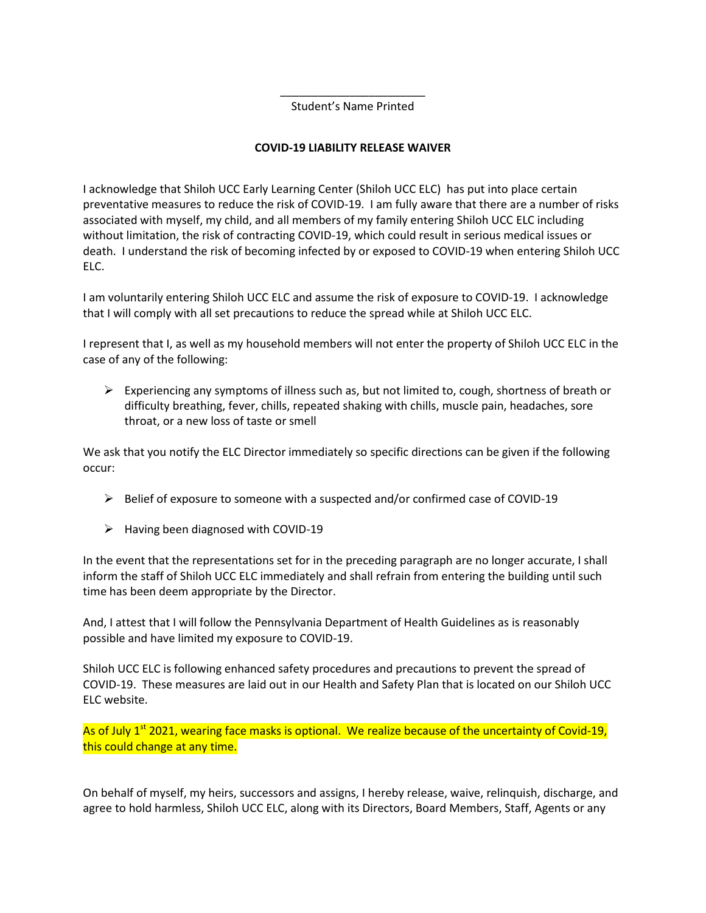\_\_\_\_\_\_\_\_\_\_\_\_\_\_\_\_\_\_\_\_\_\_\_ Student's Name Printed

## **COVID-19 LIABILITY RELEASE WAIVER**

I acknowledge that Shiloh UCC Early Learning Center (Shiloh UCC ELC) has put into place certain preventative measures to reduce the risk of COVID-19. I am fully aware that there are a number of risks associated with myself, my child, and all members of my family entering Shiloh UCC ELC including without limitation, the risk of contracting COVID-19, which could result in serious medical issues or death. I understand the risk of becoming infected by or exposed to COVID-19 when entering Shiloh UCC ELC.

I am voluntarily entering Shiloh UCC ELC and assume the risk of exposure to COVID-19. I acknowledge that I will comply with all set precautions to reduce the spread while at Shiloh UCC ELC.

I represent that I, as well as my household members will not enter the property of Shiloh UCC ELC in the case of any of the following:

 $\triangleright$  Experiencing any symptoms of illness such as, but not limited to, cough, shortness of breath or difficulty breathing, fever, chills, repeated shaking with chills, muscle pain, headaches, sore throat, or a new loss of taste or smell

We ask that you notify the ELC Director immediately so specific directions can be given if the following occur:

- $\triangleright$  Belief of exposure to someone with a suspected and/or confirmed case of COVID-19
- $\triangleright$  Having been diagnosed with COVID-19

In the event that the representations set for in the preceding paragraph are no longer accurate, I shall inform the staff of Shiloh UCC ELC immediately and shall refrain from entering the building until such time has been deem appropriate by the Director.

And, I attest that I will follow the Pennsylvania Department of Health Guidelines as is reasonably possible and have limited my exposure to COVID-19.

Shiloh UCC ELC is following enhanced safety procedures and precautions to prevent the spread of COVID-19. These measures are laid out in our Health and Safety Plan that is located on our Shiloh UCC ELC website.

As of July  $1<sup>st</sup>$  2021, wearing face masks is optional. We realize because of the uncertainty of Covid-19, this could change at any time.

On behalf of myself, my heirs, successors and assigns, I hereby release, waive, relinquish, discharge, and agree to hold harmless, Shiloh UCC ELC, along with its Directors, Board Members, Staff, Agents or any